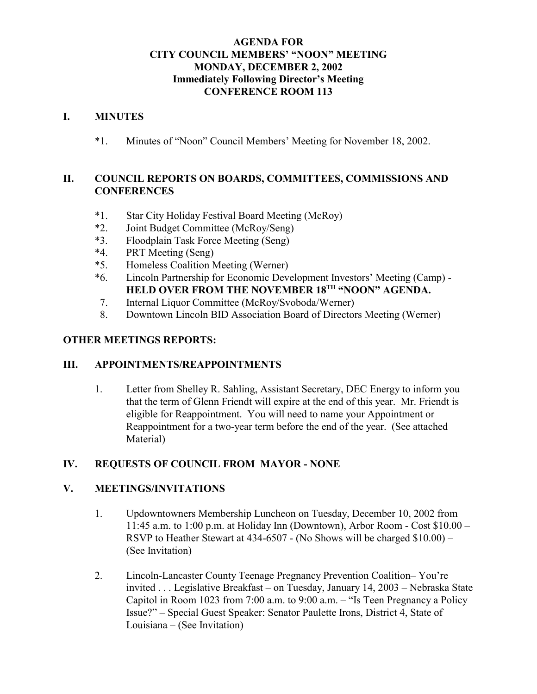#### **AGENDA FOR CITY COUNCIL MEMBERS' "NOON" MEETING MONDAY, DECEMBER 2, 2002 Immediately Following Director's Meeting CONFERENCE ROOM 113**

#### **I. MINUTES**

\*1. Minutes of "Noon" Council Members' Meeting for November 18, 2002.

#### **II. COUNCIL REPORTS ON BOARDS, COMMITTEES, COMMISSIONS AND CONFERENCES**

- \*1. Star City Holiday Festival Board Meeting (McRoy)
- \*2. Joint Budget Committee (McRoy/Seng)
- \*3. Floodplain Task Force Meeting (Seng)
- \*4. PRT Meeting (Seng)
- \*5. Homeless Coalition Meeting (Werner)
- \*6. Lincoln Partnership for Economic Development Investors' Meeting (Camp) HELD OVER FROM THE NOVEMBER 18<sup>TH</sup> "NOON" AGENDA.
- 7. Internal Liquor Committee (McRoy/Svoboda/Werner)
- 8. Downtown Lincoln BID Association Board of Directors Meeting (Werner)

#### **OTHER MEETINGS REPORTS:**

#### **III. APPOINTMENTS/REAPPOINTMENTS**

1. Letter from Shelley R. Sahling, Assistant Secretary, DEC Energy to inform you that the term of Glenn Friendt will expire at the end of this year. Mr. Friendt is eligible for Reappointment. You will need to name your Appointment or Reappointment for a two-year term before the end of the year. (See attached Material)

#### **IV. REQUESTS OF COUNCIL FROM MAYOR - NONE**

#### **V. MEETINGS/INVITATIONS**

- 1. Updowntowners Membership Luncheon on Tuesday, December 10, 2002 from 11:45 a.m. to 1:00 p.m. at Holiday Inn (Downtown), Arbor Room - Cost \$10.00 – RSVP to Heather Stewart at 434-6507 - (No Shows will be charged \$10.00) – (See Invitation)
- 2. Lincoln-Lancaster County Teenage Pregnancy Prevention Coalition– You're invited . . . Legislative Breakfast – on Tuesday, January 14, 2003 – Nebraska State Capitol in Room 1023 from 7:00 a.m. to 9:00 a.m. – "Is Teen Pregnancy a Policy Issue?" – Special Guest Speaker: Senator Paulette Irons, District 4, State of Louisiana – (See Invitation)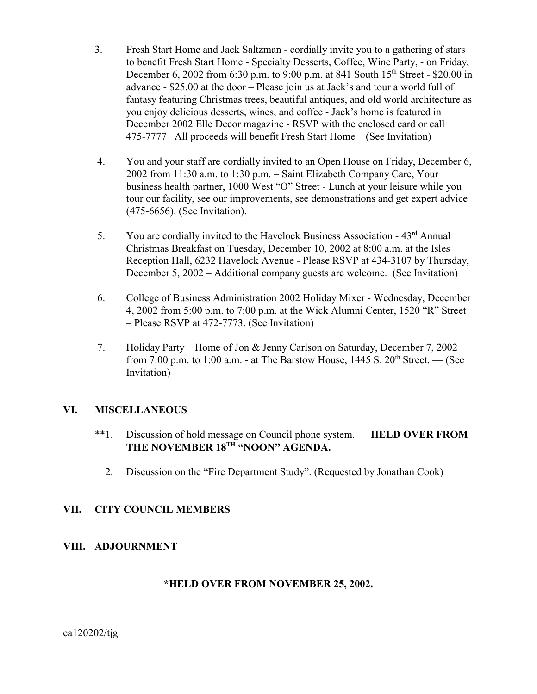- 3. Fresh Start Home and Jack Saltzman cordially invite you to a gathering of stars to benefit Fresh Start Home - Specialty Desserts, Coffee, Wine Party, - on Friday, December 6, 2002 from 6:30 p.m. to 9:00 p.m. at 841 South  $15<sup>th</sup>$  Street - \$20.00 in advance - \$25.00 at the door – Please join us at Jack's and tour a world full of fantasy featuring Christmas trees, beautiful antiques, and old world architecture as you enjoy delicious desserts, wines, and coffee - Jack's home is featured in December 2002 Elle Decor magazine - RSVP with the enclosed card or call 475-7777– All proceeds will benefit Fresh Start Home – (See Invitation)
- 4. You and your staff are cordially invited to an Open House on Friday, December 6, 2002 from 11:30 a.m. to 1:30 p.m. – Saint Elizabeth Company Care, Your business health partner, 1000 West "O" Street - Lunch at your leisure while you tour our facility, see our improvements, see demonstrations and get expert advice (475-6656). (See Invitation).
- 5. You are cordially invited to the Havelock Business Association 43rd Annual Christmas Breakfast on Tuesday, December 10, 2002 at 8:00 a.m. at the Isles Reception Hall, 6232 Havelock Avenue - Please RSVP at 434-3107 by Thursday, December 5, 2002 – Additional company guests are welcome. (See Invitation)
- 6. College of Business Administration 2002 Holiday Mixer Wednesday, December 4, 2002 from 5:00 p.m. to 7:00 p.m. at the Wick Alumni Center, 1520 "R" Street – Please RSVP at 472-7773. (See Invitation)
- 7. Holiday Party Home of Jon & Jenny Carlson on Saturday, December 7, 2002 from 7:00 p.m. to 1:00 a.m. - at The Barstow House,  $1445$  S.  $20<sup>th</sup>$  Street. — (See Invitation)

#### **VI. MISCELLANEOUS**

- \*\*1. Discussion of hold message on Council phone system. **HELD OVER FROM** THE NOVEMBER 18<sup>TH</sup> "NOON" AGENDA.
	- 2. Discussion on the "Fire Department Study". (Requested by Jonathan Cook)

#### **VII. CITY COUNCIL MEMBERS**

#### **VIII. ADJOURNMENT**

#### **\*HELD OVER FROM NOVEMBER 25, 2002.**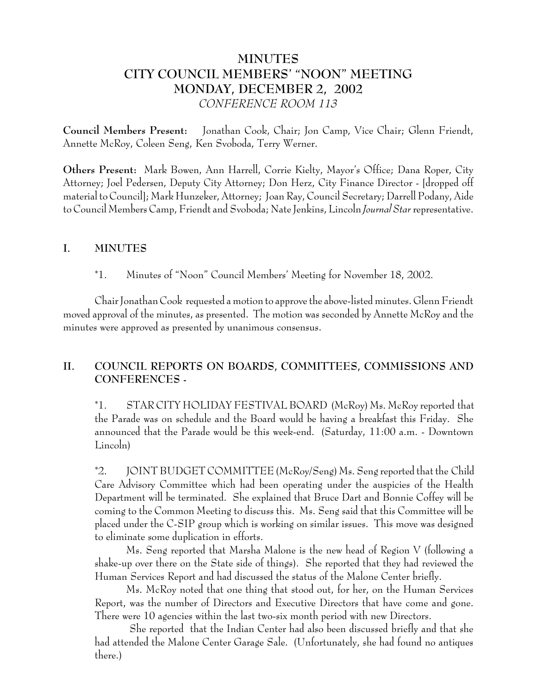# **MINUTES CITY COUNCIL MEMBERS' "NOON" MEETING MONDAY, DECEMBER 2, 2002** *CONFERENCE ROOM 113*

**Council Members Present:** Jonathan Cook, Chair; Jon Camp, Vice Chair; Glenn Friendt, Annette McRoy, Coleen Seng, Ken Svoboda, Terry Werner.

**Others Present:** Mark Bowen, Ann Harrell, Corrie Kielty, Mayor's Office; Dana Roper, City Attorney; Joel Pedersen, Deputy City Attorney; Don Herz, City Finance Director - [dropped off material to Council]; Mark Hunzeker, Attorney; Joan Ray, Council Secretary; Darrell Podany, Aide to Council Members Camp, Friendt and Svoboda; Nate Jenkins, Lincoln *Journal Star* representative.

### **I. MINUTES**

\*1. Minutes of "Noon" Council Members' Meeting for November 18, 2002.

Chair Jonathan Cook requested a motion to approve the above-listed minutes. Glenn Friendt moved approval of the minutes, as presented. The motion was seconded by Annette McRoy and the minutes were approved as presented by unanimous consensus.

## **II. COUNCIL REPORTS ON BOARDS, COMMITTEES, COMMISSIONS AND CONFERENCES -**

\*1. STAR CITY HOLIDAY FESTIVAL BOARD (McRoy) Ms. McRoy reported that the Parade was on schedule and the Board would be having a breakfast this Friday. She announced that the Parade would be this week-end. (Saturday, 11:00 a.m. - Downtown Lincoln)

\*2. JOINT BUDGET COMMITTEE (McRoy/Seng) Ms. Seng reported that the Child Care Advisory Committee which had been operating under the auspicies of the Health Department will be terminated. She explained that Bruce Dart and Bonnie Coffey will be coming to the Common Meeting to discuss this. Ms. Seng said that this Committee will be placed under the C-SIP group which is working on similar issues. This move was designed to eliminate some duplication in efforts.

Ms. Seng reported that Marsha Malone is the new head of Region V (following a shake-up over there on the State side of things). She reported that they had reviewed the Human Services Report and had discussed the status of the Malone Center briefly.

Ms. McRoy noted that one thing that stood out, for her, on the Human Services Report, was the number of Directors and Executive Directors that have come and gone. There were 10 agencies within the last two-six month period with new Directors.

 She reported that the Indian Center had also been discussed briefly and that she had attended the Malone Center Garage Sale. (Unfortunately, she had found no antiques there.)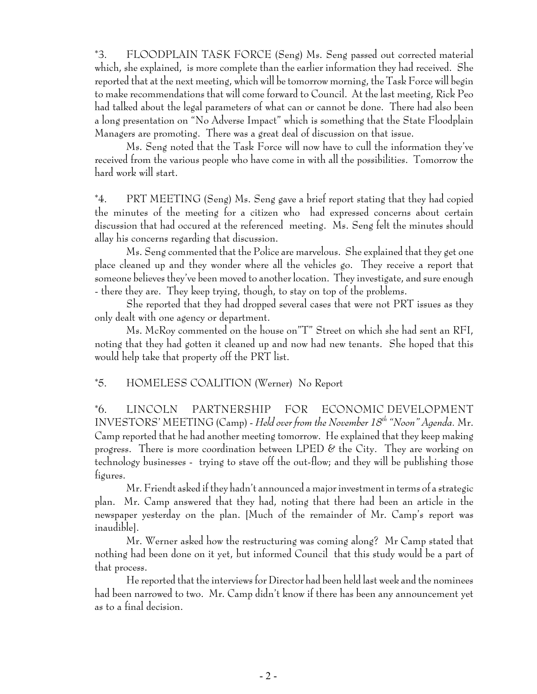\*3. FLOODPLAIN TASK FORCE (Seng) Ms. Seng passed out corrected material which, she explained, is more complete than the earlier information they had received. She reported that at the next meeting, which will be tomorrow morning, the Task Force will begin to make recommendations that will come forward to Council. At the last meeting, Rick Peo had talked about the legal parameters of what can or cannot be done. There had also been a long presentation on "No Adverse Impact" which is something that the State Floodplain Managers are promoting. There was a great deal of discussion on that issue.

Ms. Seng noted that the Task Force will now have to cull the information they've received from the various people who have come in with all the possibilities. Tomorrow the hard work will start.

\*4. PRT MEETING (Seng) Ms. Seng gave a brief report stating that they had copied the minutes of the meeting for a citizen who had expressed concerns about certain discussion that had occured at the referenced meeting. Ms. Seng felt the minutes should allay his concerns regarding that discussion.

Ms. Seng commented that the Police are marvelous. She explained that they get one place cleaned up and they wonder where all the vehicles go. They receive a report that someone believes they've been moved to another location. They investigate, and sure enough - there they are. They keep trying, though, to stay on top of the problems.

She reported that they had dropped several cases that were not PRT issues as they only dealt with one agency or department.

Ms. McRoy commented on the house on"T" Street on which she had sent an RFI, noting that they had gotten it cleaned up and now had new tenants. She hoped that this would help take that property off the PRT list.

#### \*5. HOMELESS COALITION (Werner) No Report

\*6. LINCOLN PARTNERSHIP FOR ECONOMIC DEVELOPMENT INVESTORS' MEETING (Camp) - *Held over from the November 18th "Noon" Agenda.* Mr. Camp reported that he had another meeting tomorrow. He explained that they keep making progress. There is more coordination between LPED  $\mathscr E$  the City. They are working on technology businesses - trying to stave off the out-flow; and they will be publishing those figures.

Mr. Friendt asked if they hadn't announced a major investment in terms of a strategic plan. Mr. Camp answered that they had, noting that there had been an article in the newspaper yesterday on the plan. [Much of the remainder of Mr. Camp's report was inaudible].

Mr. Werner asked how the restructuring was coming along? Mr Camp stated that nothing had been done on it yet, but informed Council that this study would be a part of that process.

He reported that the interviews for Director had been held last week and the nominees had been narrowed to two. Mr. Camp didn't know if there has been any announcement yet as to a final decision.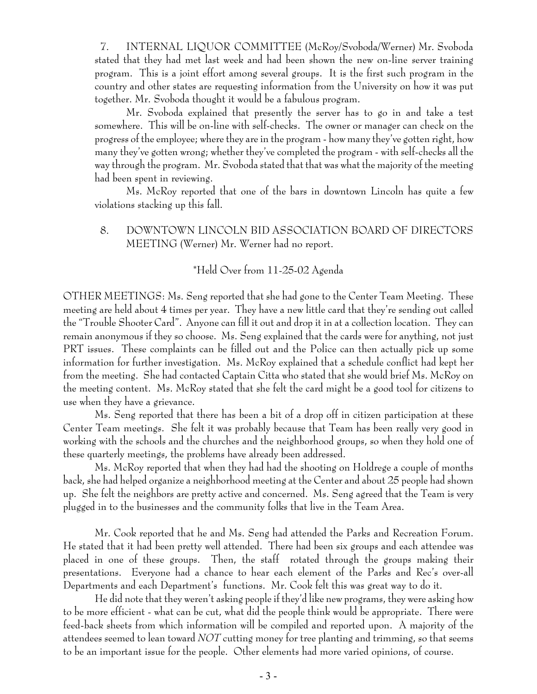7. INTERNAL LIQUOR COMMITTEE (McRoy/Svoboda/Werner) Mr. Svoboda stated that they had met last week and had been shown the new on-line server training program. This is a joint effort among several groups. It is the first such program in the country and other states are requesting information from the University on how it was put together. Mr. Svoboda thought it would be a fabulous program.

Mr. Svoboda explained that presently the server has to go in and take a test somewhere. This will be on-line with self-checks. The owner or manager can check on the progress of the employee; where they are in the program - how many they've gotten right, how many they've gotten wrong; whether they've completed the program - with self-checks all the way through the program. Mr. Svoboda stated that that was what the majority of the meeting had been spent in reviewing.

Ms. McRoy reported that one of the bars in downtown Lincoln has quite a few violations stacking up this fall.

#### 8. DOWNTOWN LINCOLN BID ASSOCIATION BOARD OF DIRECTORS MEETING (Werner) Mr. Werner had no report.

## \*Held Over from 11-25-02 Agenda

OTHER MEETINGS: Ms. Seng reported that she had gone to the Center Team Meeting. These meeting are held about 4 times per year. They have a new little card that they're sending out called the "Trouble Shooter Card". Anyone can fill it out and drop it in at a collection location. They can remain anonymous if they so choose. Ms. Seng explained that the cards were for anything, not just PRT issues. These complaints can be filled out and the Police can then actually pick up some information for further investigation. Ms. McRoy explained that a schedule conflict had kept her from the meeting. She had contacted Captain Citta who stated that she would brief Ms. McRoy on the meeting content. Ms. McRoy stated that she felt the card might be a good tool for citizens to use when they have a grievance.

Ms. Seng reported that there has been a bit of a drop off in citizen participation at these Center Team meetings. She felt it was probably because that Team has been really very good in working with the schools and the churches and the neighborhood groups, so when they hold one of these quarterly meetings, the problems have already been addressed.

Ms. McRoy reported that when they had had the shooting on Holdrege a couple of months back, she had helped organize a neighborhood meeting at the Center and about 25 people had shown up. She felt the neighbors are pretty active and concerned. Ms. Seng agreed that the Team is very plugged in to the businesses and the community folks that live in the Team Area.

Mr. Cook reported that he and Ms. Seng had attended the Parks and Recreation Forum. He stated that it had been pretty well attended. There had been six groups and each attendee was placed in one of these groups. Then, the staff rotated through the groups making their presentations. Everyone had a chance to hear each element of the Parks and Rec's over-all Departments and each Department's functions. Mr. Cook felt this was great way to do it.

He did note that they weren't asking people if they'd like new programs, they were asking how to be more efficient - what can be cut, what did the people think would be appropriate. There were feed-back sheets from which information will be compiled and reported upon. A majority of the attendees seemed to lean toward *NOT* cutting money for tree planting and trimming, so that seems to be an important issue for the people. Other elements had more varied opinions, of course.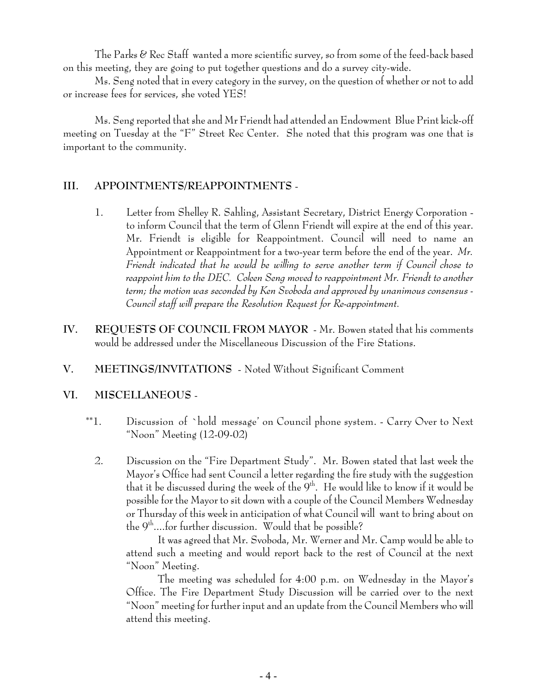The Parks & Rec Staff wanted a more scientific survey, so from some of the feed-back based on this meeting, they are going to put together questions and do a survey city-wide.

Ms. Seng noted that in every category in the survey, on the question of whether or not to add or increase fees for services, she voted YES!

Ms. Seng reported that she and Mr Friendt had attended an Endowment Blue Print kick-off meeting on Tuesday at the "F" Street Rec Center. She noted that this program was one that is important to the community.

#### **III. APPOINTMENTS/REAPPOINTMENTS** -

- 1. Letter from Shelley R. Sahling, Assistant Secretary, District Energy Corporation to inform Council that the term of Glenn Friendt will expire at the end of this year. Mr. Friendt is eligible for Reappointment. Council will need to name an Appointment or Reappointment for a two-year term before the end of the year. *Mr. Friendt indicated that he would be willing to serve another term if Council chose to reappoint him to the DEC. Coleen Seng moved to reappointment Mr. Friendt to another term; the motion was seconded by Ken Svoboda and approved by unanimous consensus - Council staff will prepare the Resolution Request for Re-appointment.*
- **IV. REQUESTS OF COUNCIL FROM MAYOR** Mr. Bowen stated that his comments would be addressed under the Miscellaneous Discussion of the Fire Stations.
- **V. MEETINGS/INVITATIONS** Noted Without Significant Comment

#### **VI. MISCELLANEOUS** -

- \*\*1. Discussion of `hold message' on Council phone system. Carry Over to Next "Noon" Meeting (12-09-02)
	- 2. Discussion on the "Fire Department Study". Mr. Bowen stated that last week the Mayor's Office had sent Council a letter regarding the fire study with the suggestion that it be discussed during the week of the  $9<sup>th</sup>$ . He would like to know if it would be possible for the Mayor to sit down with a couple of the Council Members Wednesday or Thursday of this week in anticipation of what Council will want to bring about on the  $9<sup>th</sup>...$  for further discussion. Would that be possible?

It was agreed that Mr. Svoboda, Mr. Werner and Mr. Camp would be able to attend such a meeting and would report back to the rest of Council at the next "Noon" Meeting.

The meeting was scheduled for 4:00 p.m. on Wednesday in the Mayor's Office. The Fire Department Study Discussion will be carried over to the next "Noon" meeting for further input and an update from the Council Members who will attend this meeting.